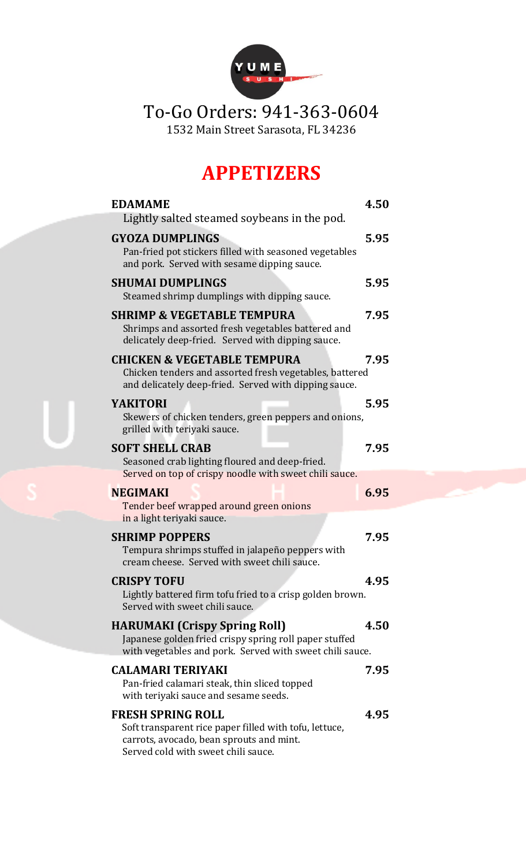

# To-Go Orders: 941-363-0604

1532 Main Street Sarasota, FL 34236

# **APPETIZERS**

| <b>EDAMAME</b>                                                                                                                                                        | 4.50 |
|-----------------------------------------------------------------------------------------------------------------------------------------------------------------------|------|
| Lightly salted steamed soybeans in the pod.                                                                                                                           |      |
| <b>GYOZA DUMPLINGS</b><br>Pan-fried pot stickers filled with seasoned vegetables<br>and pork. Served with sesame dipping sauce.                                       | 5.95 |
| <b>SHUMAI DUMPLINGS</b><br>Steamed shrimp dumplings with dipping sauce.                                                                                               | 5.95 |
| <b>SHRIMP &amp; VEGETABLE TEMPURA</b><br>Shrimps and assorted fresh vegetables battered and<br>delicately deep-fried. Served with dipping sauce.                      | 7.95 |
| <b>CHICKEN &amp; VEGETABLE TEMPURA</b><br>Chicken tenders and assorted fresh vegetables, battered<br>and delicately deep-fried. Served with dipping sauce.            | 7.95 |
| <b>YAKITORI</b><br>Skewers of chicken tenders, green peppers and onions,<br>grilled with teriyaki sauce.                                                              | 5.95 |
| <b>SOFT SHELL CRAB</b><br>Seasoned crab lighting floured and deep-fried.<br>Served on top of crispy noodle with sweet chili sauce.                                    | 7.95 |
| <b>NEGIMAKI</b><br>Tender beef wrapped around green onions<br>in a light teriyaki sauce.                                                                              | 6.95 |
| <b>SHRIMP POPPERS</b><br>Tempura shrimps stuffed in jalapeño peppers with<br>cream cheese. Served with sweet chili sauce.                                             | 7.95 |
| <b>CRISPY TOFU</b><br>Lightly battered firm tofu fried to a crisp golden brown.<br>Served with sweet chili sauce.                                                     | 4.95 |
| <b>HARUMAKI (Crispy Spring Roll)</b><br>Japanese golden fried crispy spring roll paper stuffed<br>with vegetables and pork. Served with sweet chili sauce.            | 4.50 |
| <b>CALAMARI TERIYAKI</b><br>Pan-fried calamari steak, thin sliced topped<br>with teriyaki sauce and sesame seeds.                                                     | 7.95 |
| <b>FRESH SPRING ROLL</b><br>Soft transparent rice paper filled with tofu, lettuce,<br>carrots, avocado, bean sprouts and mint.<br>Served cold with sweet chili sauce. | 4.95 |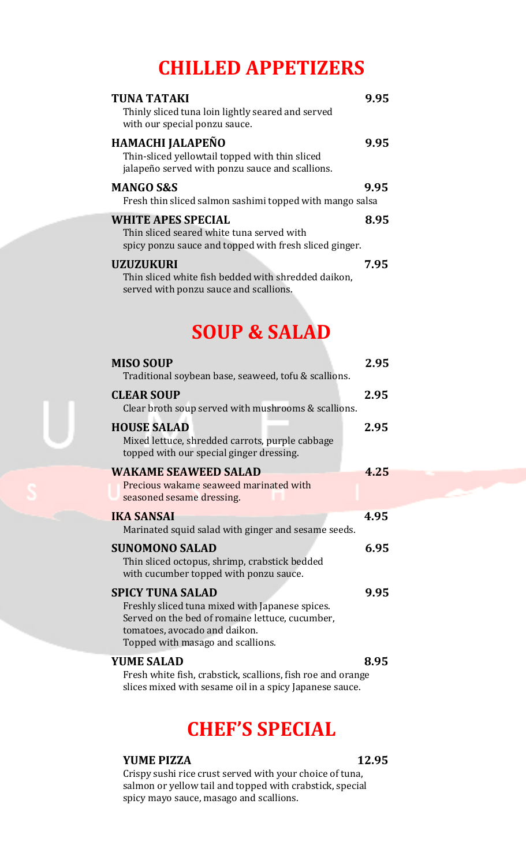# **CHILLED APPETIZERS**

| <b>TUNA TATAKI</b><br>Thinly sliced tuna loin lightly seared and served<br>with our special ponzu sauce.                         | 9.95 |
|----------------------------------------------------------------------------------------------------------------------------------|------|
| HAMACHI JALAPEÑO<br>Thin-sliced yellowtail topped with thin sliced<br>jalapeño served with ponzu sauce and scallions.            | 9.95 |
| <b>MANGO S&amp;S</b><br>Fresh thin sliced salmon sashimi topped with mango salsa                                                 | 9.95 |
| <b>WHITE APES SPECIAL</b><br>Thin sliced seared white tuna served with<br>spicy ponzu sauce and topped with fresh sliced ginger. | 8.95 |
| <b>UZUZUKURI</b><br>Thin sliced white fish bedded with shredded daikon,<br>served with ponzu sauce and scallions.                | 7.95 |

# **SOUP & SALAD**

| <b>MISO SOUP</b><br>Traditional soybean base, seaweed, tofu & scallions.                                                                                                                            | 2.95 |
|-----------------------------------------------------------------------------------------------------------------------------------------------------------------------------------------------------|------|
| <b>CLEAR SOUP</b><br>Clear broth soup served with mushrooms & scallions.                                                                                                                            | 2.95 |
| <b>HOUSE SALAD</b><br>Mixed lettuce, shredded carrots, purple cabbage<br>topped with our special ginger dressing.                                                                                   | 2.95 |
| <b>WAKAME SEAWEED SALAD</b><br>Precious wakame seaweed marinated with<br>seasoned sesame dressing.                                                                                                  | 4.25 |
| <b>IKA SANSAI</b><br>Marinated squid salad with ginger and sesame seeds.                                                                                                                            | 4.95 |
| <b>SUNOMONO SALAD</b><br>Thin sliced octopus, shrimp, crabstick bedded<br>with cucumber topped with ponzu sauce.                                                                                    | 6.95 |
| <b>SPICY TUNA SALAD</b><br>Freshly sliced tuna mixed with Japanese spices.<br>Served on the bed of romaine lettuce, cucumber,<br>tomatoes, avocado and daikon.<br>Topped with masago and scallions. | 9.95 |
| <b>YUME SALAD</b><br>Exach white fight quality coalliers fight no and avance                                                                                                                        | 8.95 |

Fresh white fish, crabstick, scallions, fish roe and orange slices mixed with sesame oil in a spicy Japanese sauce.

# **CHEF'S SPECIAL**

### **YUME PIZZA 12.95**

Crispy sushi rice crust served with your choice of tuna, salmon or yellow tail and topped with crabstick, special spicy mayo sauce, masago and scallions.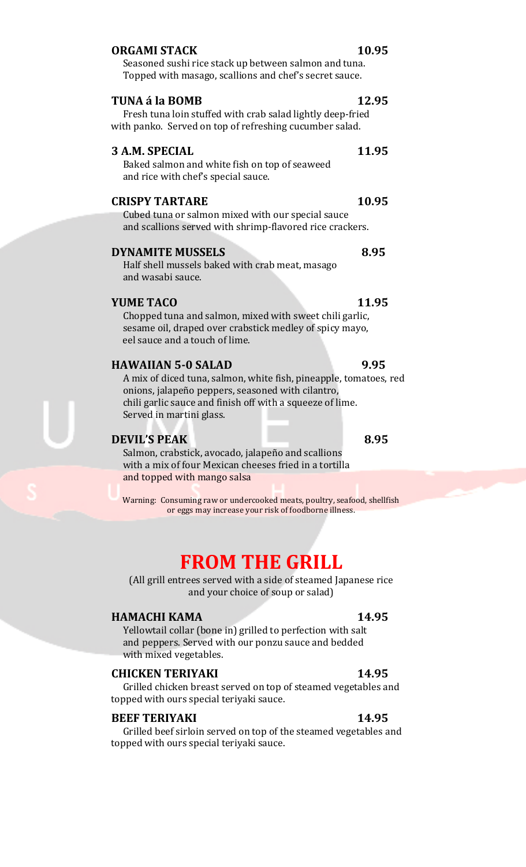### **ORGAMI STACK 10.95**

Seasoned sushi rice stack up between salmon and tuna. Topped with masago, scallions and chef's secret sauce.

#### **TUNA á la BOMB 12.95**

Fresh tuna loin stuffed with crab salad lightly deep-fried with panko.Served on top of refreshing cucumber salad.

#### **3 A.M. SPECIAL 11.95**

Baked salmon and white fish on top of seaweed and rice with chef's special sauce.

#### **CRISPY TARTARE 10.95**

Cubed tuna or salmon mixed with our special sauce and scallions served with shrimp-flavored rice crackers.

#### **DYNAMITE MUSSELS 8.95**

Half shell mussels baked with crab meat, masago and wasabi sauce.

#### **YUME TACO** 11.95

Chopped tuna and salmon, mixed with sweet chili garlic, sesame oil, draped over crabstick medley of spicy mayo, eel sauce and a touch of lime.

### **HAWAIIAN 5-0 SALAD 9.95**

A mix of diced tuna, salmon, white fish, pineapple, tomatoes, red onions, jalapeño peppers, seasoned with cilantro, chili garlic sauce and finish off with a squeeze of lime. Served in martini glass.

#### **DEVIL'S PEAK** 8.95

Salmon, crabstick, avocado, jalapeño and scallions with a mix of four Mexican cheeses fried in a tortilla and topped with mango salsa

Warning: Consuming raw or undercooked meats, poultry, seafood, shellfish or eggs may increase your risk of foodborne illness.

## **FROM THE GRILL**

(All grill entrees served with a side of steamed Japanese rice and your choice of soup or salad)

### **HAMACHI KAMA 14.95**

Yellowtail collar (bone in) grilled to perfection with salt and peppers. Served with our ponzu sauce and bedded with mixed vegetables.

### **CHICKEN TERIYAKI 14.95**

Grilled chicken breast served on top of steamed vegetables and topped with ours special teriyaki sauce.

#### **BEEF TERIVAKI 14.95**

Grilled beef sirloin served on top of the steamed vegetables and topped with ours special teriyaki sauce.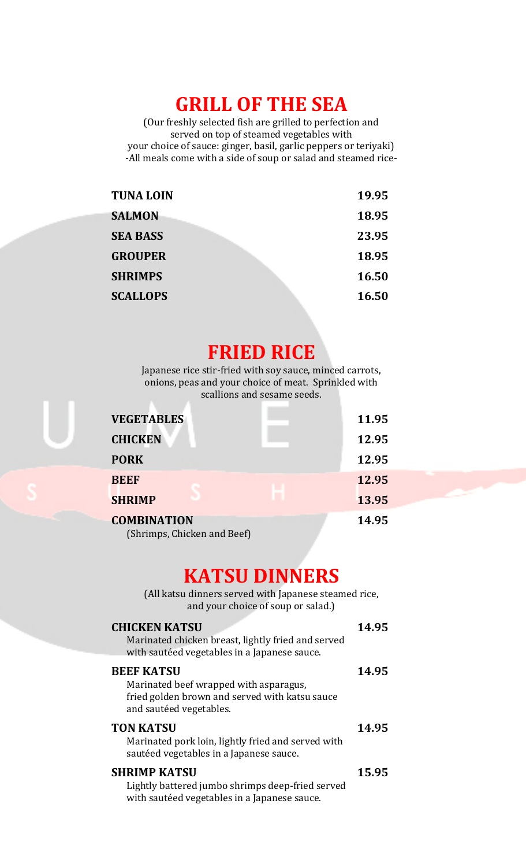# **GRILL OF THE SEA**

(Our freshly selected fish are grilled to perfection and served on top of steamed vegetables with your choice of sauce: ginger, basil, garlic peppers or teriyaki) -All meals come with a side of soup or salad and steamed rice-

| <b>TUNA LOIN</b> | 19.95 |
|------------------|-------|
| <b>SALMON</b>    | 18.95 |
| <b>SEA BASS</b>  | 23.95 |
| <b>GROUPER</b>   | 18.95 |
| <b>SHRIMPS</b>   | 16.50 |
| <b>SCALLOPS</b>  | 16.50 |

# **FRIED RICE**

Japanese rice stir-fried with soy sauce, minced carrots, onions, peas and your choice of meat. Sprinkled with scallions and sesame seeds.

| <b>VEGETABLES</b>           | 11.95 |
|-----------------------------|-------|
| <b>CHICKEN</b>              | 12.95 |
| <b>PORK</b>                 | 12.95 |
| <b>BEEF</b>                 | 12.95 |
| <b>SHRIMP</b>               | 13.95 |
| <b>COMBINATION</b>          | 14.95 |
| (Shrimps, Chicken and Beef) |       |

## **KATSU DINNERS**

(All katsu dinners served with Japanese steamed rice, and your choice of soup or salad.)

| <b>CHICKEN KATSU</b><br>Marinated chicken breast, lightly fried and served<br>with sautéed vegetables in a Japanese sauce.               | 14.95 |
|------------------------------------------------------------------------------------------------------------------------------------------|-------|
| <b>BEEF KATSU</b><br>Marinated beef wrapped with asparagus,<br>fried golden brown and served with katsu sauce<br>and sautéed vegetables. | 14.95 |
| <b>TON KATSU</b><br>Marinated pork loin, lightly fried and served with<br>sautéed vegetables in a Japanese sauce.                        | 14.95 |
| <b>SHRIMP KATSU</b><br>Lightly battered jumbo shrimps deep-fried served<br>with sautéed vegetables in a Japanese sauce.                  | 15.95 |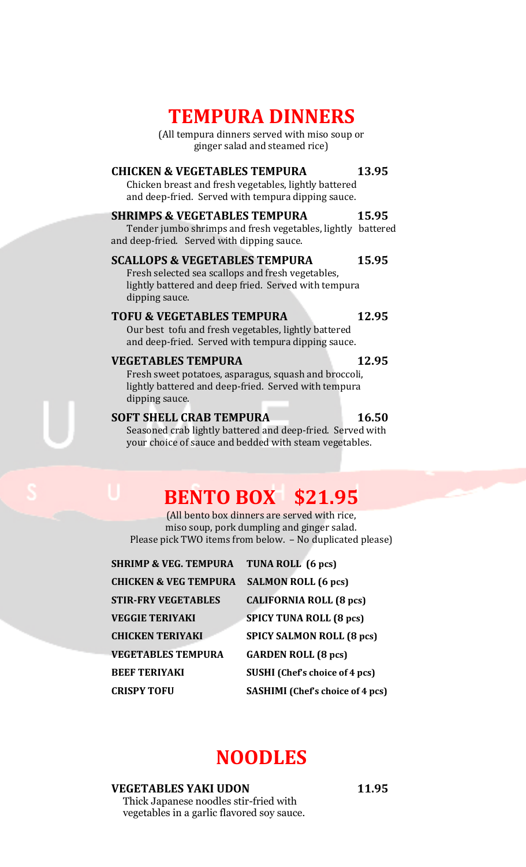# **TEMPURA DINNERS**

(All tempura dinners served with miso soup or ginger salad and steamed rice)

### **CHICKEN & VEGETABLES TEMPURA 13.95**

Chicken breast and fresh vegetables, lightly battered and deep-fried. Served with tempura dipping sauce.

#### **SHRIMPS & VEGETABLES TEMPURA 15.95**

Tender jumbo shrimps and fresh vegetables, lightly battered and deep-fried. Served with dipping sauce.

#### **SCALLOPS & VEGETABLES TEMPURA 15.95**

Fresh selected sea scallops and fresh vegetables, lightly battered and deep fried. Served with tempura dipping sauce.

### TOFU & VEGETABLES TEMPURA 12.95

Our best tofu and fresh vegetables, lightly battered and deep-fried. Served with tempura dipping sauce.

### **VEGETABLES TEMPURA 12.95**

Fresh sweet potatoes, asparagus, squash and broccoli, lightly battered and deep-fried. Served with tempura dipping sauce.

### **SOFT SHELL CRAB TEMPURA** 16.50

Seasoned crab lightly battered and deep-fried. Served with your choice of sauce and bedded with steam vegetables.

# **BENTO BOX \$21.95**

(All bento box dinners are served with rice, miso soup, pork dumpling and ginger salad. Please pick TWO items from below. – No duplicated please)

| <b>SHRIMP &amp; VEG. TEMPURA</b> | TUNA ROLL (6 pcs)                       |
|----------------------------------|-----------------------------------------|
| <b>CHICKEN &amp; VEG TEMPURA</b> | <b>SALMON ROLL (6 pcs)</b>              |
| <b>STIR-FRY VEGETABLES</b>       | <b>CALIFORNIA ROLL (8 pcs)</b>          |
| <b>VEGGIE TERIYAKI</b>           | <b>SPICY TUNA ROLL (8 pcs)</b>          |
| <b>CHICKEN TERIYAKI</b>          | <b>SPICY SALMON ROLL (8 pcs)</b>        |
| <b>VEGETABLES TEMPURA</b>        | <b>GARDEN ROLL (8 pcs)</b>              |
| <b>BEEF TERIYAKI</b>             | <b>SUSHI</b> (Chef's choice of 4 pcs)   |
| <b>CRISPY TOFU</b>               | <b>SASHIMI</b> (Chef's choice of 4 pcs) |

## **NOODLES**

#### **VEGETABLES YAKI UDON 11.95**

Thick Japanese noodles stir-fried with vegetables in a garlic flavored soy sauce.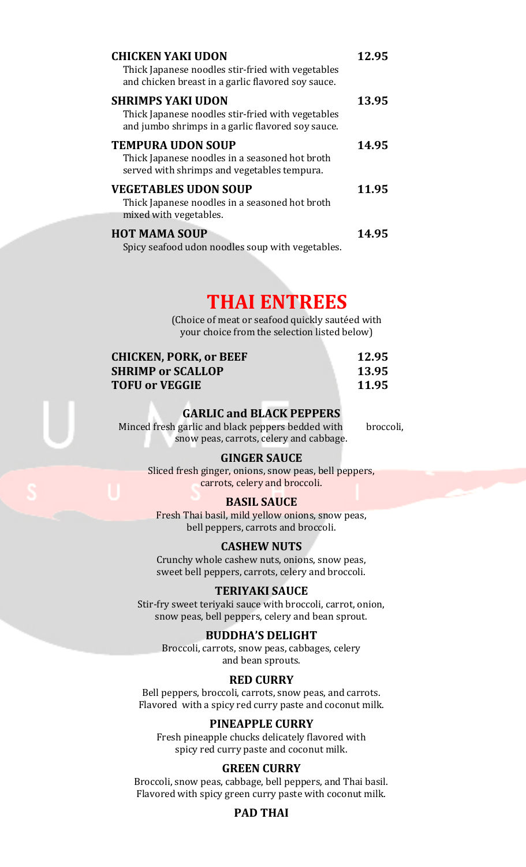| <b>CHICKEN YAKI UDON</b><br>Thick Japanese noodles stir-fried with vegetables<br>and chicken breast in a garlic flavored soy sauce. | 12.95 |
|-------------------------------------------------------------------------------------------------------------------------------------|-------|
| <b>SHRIMPS YAKI UDON</b><br>Thick Japanese noodles stir-fried with vegetables<br>and jumbo shrimps in a garlic flavored soy sauce.  | 13.95 |
| <b>TEMPURA UDON SOUP</b><br>Thick Japanese noodles in a seasoned hot broth<br>served with shrimps and vegetables tempura.           | 14.95 |
| <b>VEGETABLES UDON SOUP</b><br>Thick Japanese noodles in a seasoned hot broth<br>mixed with vegetables.                             | 11.95 |
| <b>HOT MAMA SOUP</b><br>Spicy seafood udon noodles soup with vegetables.                                                            | 14.95 |

# **THAI ENTREES**

(Choice of meat or seafood quickly sautéed with your choice from the selection listed below)

| <b>CHICKEN, PORK, or BEEF</b> | 12.95 |
|-------------------------------|-------|
| <b>SHRIMP or SCALLOP</b>      | 13.95 |
| <b>TOFU or VEGGIE</b>         | 11.95 |

### **GARLIC and BLACK PEPPERS**

Minced fresh garlic and black peppers bedded with broccoli, snow peas, carrots, celery and cabbage.

#### **GINGER SAUCE**

Sliced fresh ginger, onions, snow peas, bell peppers, carrots, celery and broccoli.

#### **BASIL SAUCE**

Fresh Thai basil, mild yellow onions, snow peas, bell peppers, carrots and broccoli.

#### **CASHEW NUTS**

Crunchy whole cashew nuts, onions, snow peas, sweet bell peppers, carrots, celery and broccoli.

#### **TERIYAKI SAUCE**

Stir-fry sweet teriyaki sauce with broccoli, carrot, onion, snow peas, bell peppers, celery and bean sprout.

#### **BUDDHA'S DELIGHT**

Broccoli, carrots, snow peas, cabbages, celery and bean sprouts.

#### **RED CURRY**

Bell peppers, broccoli, carrots, snow peas, and carrots. Flavored with a spicy red curry paste and coconut milk.

#### **PINEAPPLE CURRY**

Fresh pineapple chucks delicately flavored with spicy red curry paste and coconut milk.

#### **GREEN CURRY**

Broccoli, snow peas, cabbage, bell peppers, and Thai basil. Flavored with spicy green curry paste with coconut milk.

### **PAD THAI**